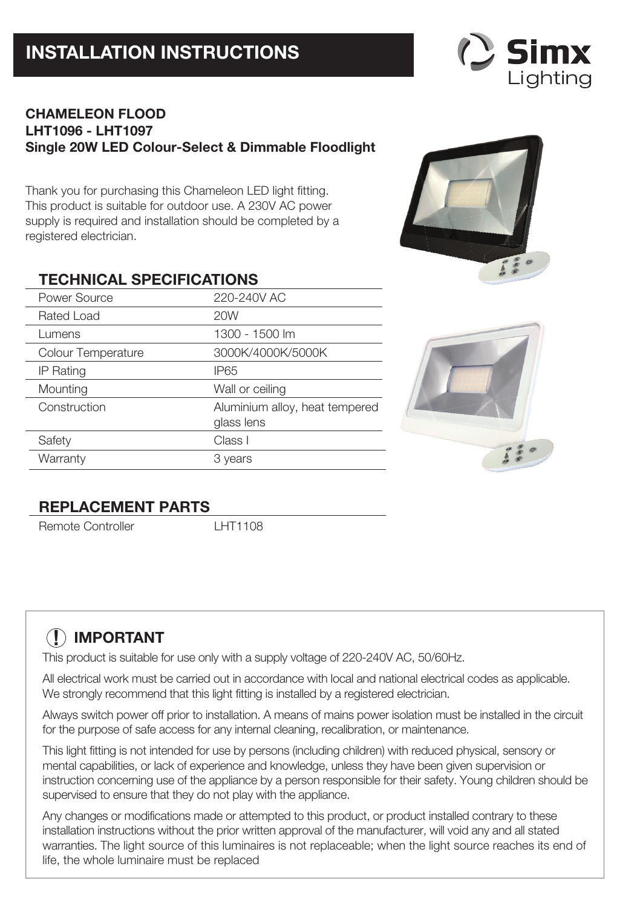# **INSTALLATION INSTRUCTIONS**



# **CHAMELEON FLOOD LHT1096 - LHT1097 Single 20W LED Colour-Select & Dimmable Floodlight**

Thank you for purchasing this Chameleon LED light fitting. This product is suitable for outdoor use. A 230V AC power supply is required and installation should be completed by a registered electrician.

# **TECHNICAL SPECIFICATIONS**

| Power Source       | 220-240V AC                                  |
|--------------------|----------------------------------------------|
| Rated Load         | 20W                                          |
| Lumens             | 1300 - 1500 lm                               |
| Colour Temperature | 3000K/4000K/5000K                            |
| <b>IP Rating</b>   | <b>IP65</b>                                  |
| Mounting           | Wall or ceiling                              |
| Construction       | Aluminium alloy, heat tempered<br>glass lens |
| Safety             | Class I                                      |
| Warranty           | 3 years                                      |





# **REPLACEMENT PARTS**

Remote Controller LHT1108

# **! IMPORTANT**

This product is suitable for use only with a supply voltage of 220-240V AC, 50/60Hz.

All electrical work must be carried out in accordance with local and national electrical codes as applicable. We strongly recommend that this light fitting is installed by a registered electrician.

Always switch power off prior to installation. A means of mains power isolation must be installed in the circuit for the purpose of safe access for any internal cleaning, recalibration, or maintenance.

This light fitting is not intended for use by persons (including children) with reduced physical, sensory or mental capabilities, or lack of experience and knowledge, unless they have been given supervision or instruction concerning use of the appliance by a person responsible for their safety. Young children should be supervised to ensure that they do not play with the appliance.

Any changes or modifications made or attempted to this product, or product installed contrary to these installation instructions without the prior written approval of the manufacturer, will void any and all stated warranties. The light source of this luminaires is not replaceable; when the light source reaches its end of life, the whole luminaire must be replaced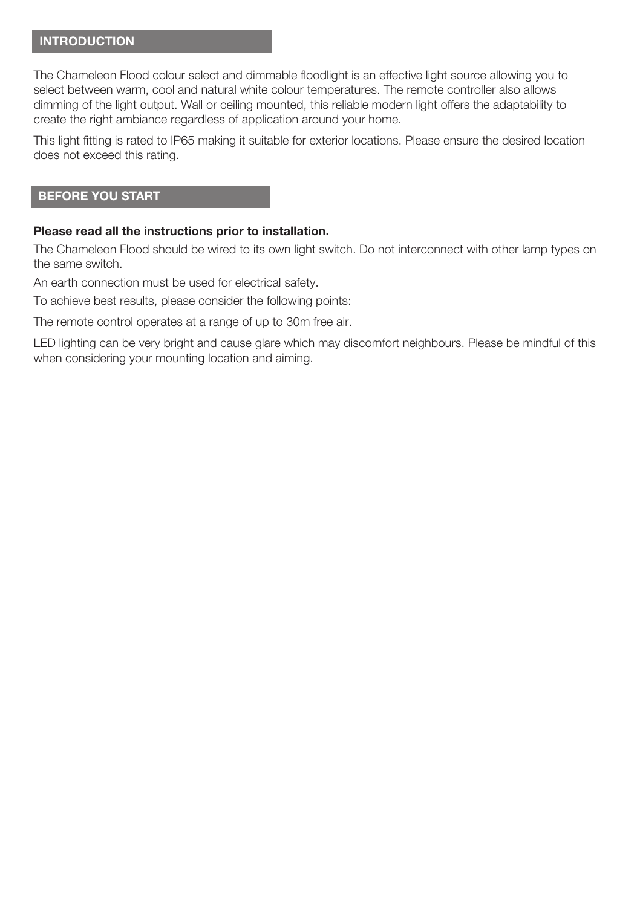## **INTRODUCTION**

The Chameleon Flood colour select and dimmable floodlight is an effective light source allowing you to select between warm, cool and natural white colour temperatures. The remote controller also allows dimming of the light output. Wall or ceiling mounted, this reliable modern light offers the adaptability to create the right ambiance regardless of application around your home.

This light fitting is rated to IP65 making it suitable for exterior locations. Please ensure the desired location does not exceed this rating.

#### **BEFORE YOU START**

#### **Please read all the instructions prior to installation.**

The Chameleon Flood should be wired to its own light switch. Do not interconnect with other lamp types on the same switch.

An earth connection must be used for electrical safety.

To achieve best results, please consider the following points:

The remote control operates at a range of up to 30m free air.

LED lighting can be very bright and cause glare which may discomfort neighbours. Please be mindful of this when considering your mounting location and aiming.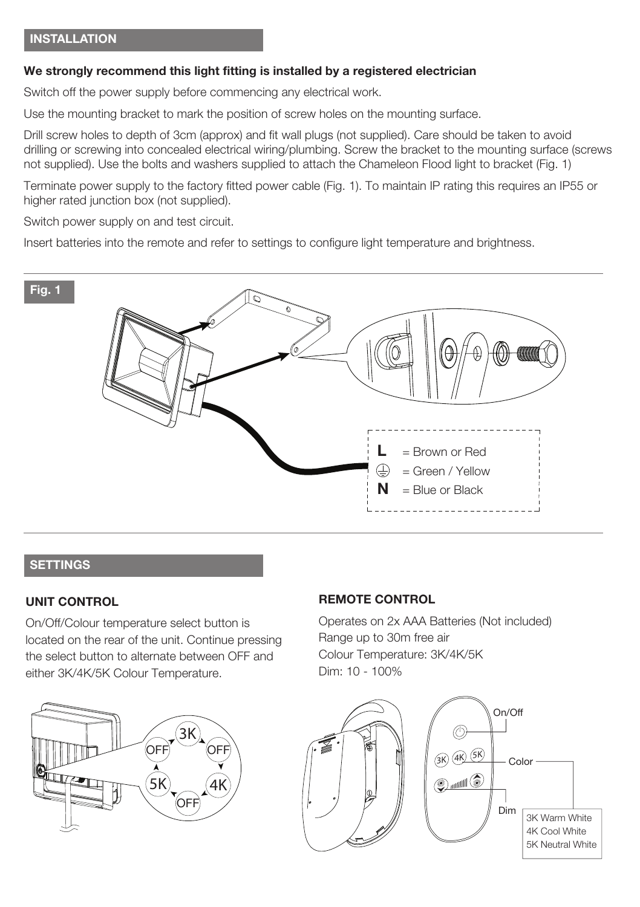## **We strongly recommend this light fitting is installed by a registered electrician**

Switch off the power supply before commencing any electrical work.

Use the mounting bracket to mark the position of screw holes on the mounting surface.

Drill screw holes to depth of 3cm (approx) and fit wall plugs (not supplied). Care should be taken to avoid drilling or screwing into concealed electrical wiring/plumbing. Screw the bracket to the mounting surface (screws not supplied). Use the bolts and washers supplied to attach the Chameleon Flood light to bracket (Fig. 1)

Terminate power supply to the factory fitted power cable (Fig. 1). To maintain IP rating this requires an IP55 or higher rated junction box (not supplied).

Switch power supply on and test circuit.

Insert batteries into the remote and refer to settings to configure light temperature and brightness.



# **SETTINGS**

#### **UNIT CONTROL**

On/Off/Colour temperature select button is located on the rear of the unit. Continue pressing the select button to alternate between OFF and either 3K/4K/5K Colour Temperature.



## **REMOTE CONTROL**

Operates on 2x AAA Batteries (Not included) Range up to 30m free air Colour Temperature: 3K/4K/5K Dim: 10 - 100%